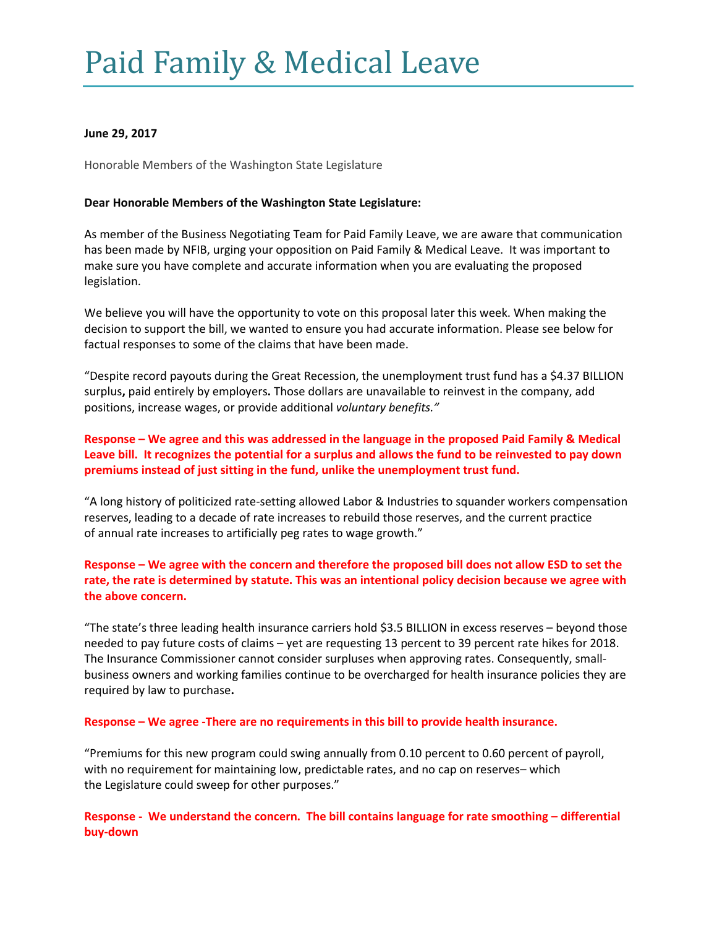# Paid Family & Medical Leave

### **June 29, 2017**

Honorable Members of the Washington State Legislature

### **Dear Honorable Members of the Washington State Legislature:**

As member of the Business Negotiating Team for Paid Family Leave, we are aware that communication has been made by NFIB, urging your opposition on Paid Family & Medical Leave. It was important to make sure you have complete and accurate information when you are evaluating the proposed legislation.

We believe you will have the opportunity to vote on this proposal later this week. When making the decision to support the bill, we wanted to ensure you had accurate information. Please see below for factual responses to some of the claims that have been made.

"Despite record payouts during the Great Recession, the unemployment trust fund has a \$4.37 BILLION surplus**,** paid entirely by employers**.** Those dollars are unavailable to reinvest in the company, add positions, increase wages, or provide additional *voluntary benefits."*

## **Response – We agree and this was addressed in the language in the proposed Paid Family & Medical Leave bill. It recognizes the potential for a surplus and allows the fund to be reinvested to pay down premiums instead of just sitting in the fund, unlike the unemployment trust fund.**

"A long history of politicized rate-setting allowed Labor & Industries to squander workers compensation reserves, leading to a decade of rate increases to rebuild those reserves, and the current practice of annual rate increases to artificially peg rates to wage growth."

## **Response – We agree with the concern and therefore the proposed bill does not allow ESD to set the rate, the rate is determined by statute. This was an intentional policy decision because we agree with the above concern.**

"The state's three leading health insurance carriers hold \$3.5 BILLION in excess reserves – beyond those needed to pay future costs of claims – yet are requesting 13 percent to 39 percent rate hikes for 2018. The Insurance Commissioner cannot consider surpluses when approving rates. Consequently, smallbusiness owners and working families continue to be overcharged for health insurance policies they are required by law to purchase**.**

#### **Response – We agree -There are no requirements in this bill to provide health insurance.**

"Premiums for this new program could swing annually from 0.10 percent to 0.60 percent of payroll, with no requirement for maintaining low, predictable rates, and no cap on reserves– which the Legislature could sweep for other purposes."

**Response - We understand the concern. The bill contains language for rate smoothing – differential buy-down**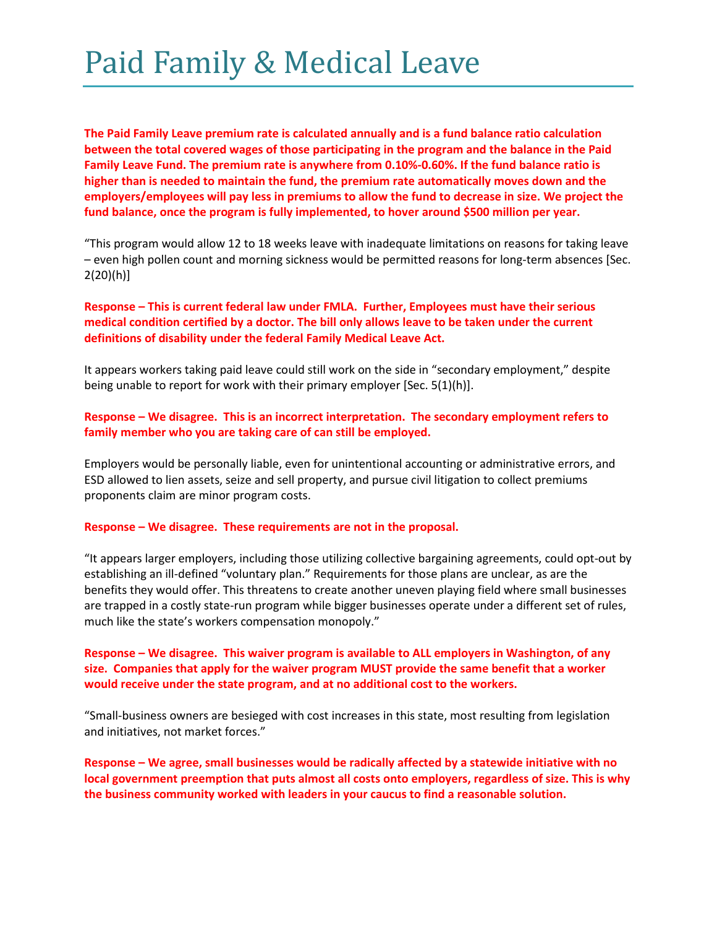## Paid Family & Medical Leave

**The Paid Family Leave premium rate is calculated annually and is a fund balance ratio calculation between the total covered wages of those participating in the program and the balance in the Paid Family Leave Fund. The premium rate is anywhere from 0.10%-0.60%. If the fund balance ratio is higher than is needed to maintain the fund, the premium rate automatically moves down and the employers/employees will pay less in premiums to allow the fund to decrease in size. We project the fund balance, once the program is fully implemented, to hover around \$500 million per year.**

"This program would allow 12 to 18 weeks leave with inadequate limitations on reasons for taking leave – even high pollen count and morning sickness would be permitted reasons for long-term absences [Sec. 2(20)(h)]

### **Response – This is current federal law under FMLA. Further, Employees must have their serious medical condition certified by a doctor. The bill only allows leave to be taken under the current definitions of disability under the federal Family Medical Leave Act.**

It appears workers taking paid leave could still work on the side in "secondary employment," despite being unable to report for work with their primary employer [Sec. 5(1)(h)].

### **Response – We disagree. This is an incorrect interpretation. The secondary employment refers to family member who you are taking care of can still be employed.**

Employers would be personally liable, even for unintentional accounting or administrative errors, and ESD allowed to lien assets, seize and sell property, and pursue civil litigation to collect premiums proponents claim are minor program costs.

#### **Response – We disagree. These requirements are not in the proposal.**

"It appears larger employers, including those utilizing collective bargaining agreements, could opt-out by establishing an ill-defined "voluntary plan." Requirements for those plans are unclear, as are the benefits they would offer. This threatens to create another uneven playing field where small businesses are trapped in a costly state-run program while bigger businesses operate under a different set of rules, much like the state's workers compensation monopoly."

### **Response – We disagree. This waiver program is available to ALL employers in Washington, of any size. Companies that apply for the waiver program MUST provide the same benefit that a worker would receive under the state program, and at no additional cost to the workers.**

"Small-business owners are besieged with cost increases in this state, most resulting from legislation and initiatives, not market forces."

**Response – We agree, small businesses would be radically affected by a statewide initiative with no local government preemption that puts almost all costs onto employers, regardless of size. This is why the business community worked with leaders in your caucus to find a reasonable solution.**